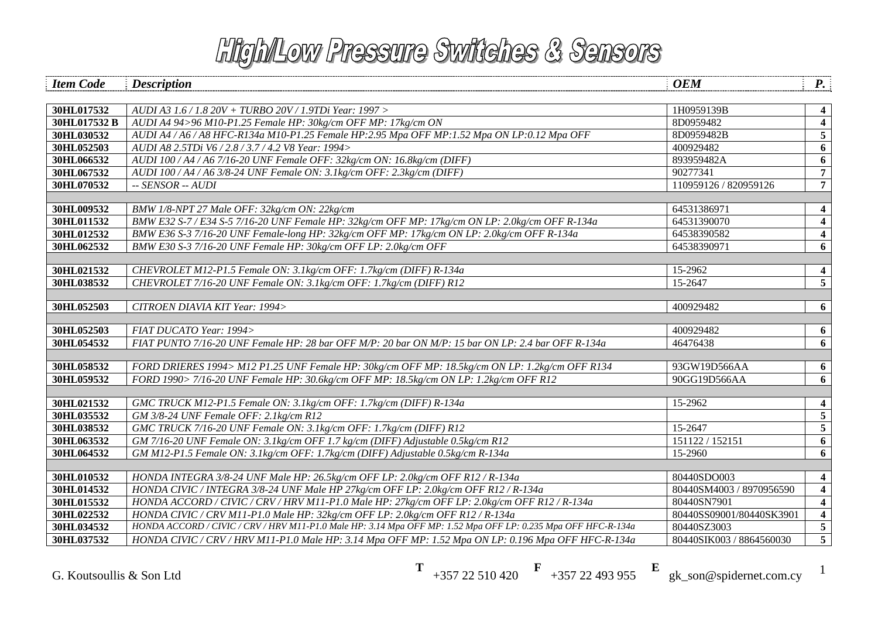| <b>Item Code</b> | <b>Description</b>                                                                                            | <b>OEM</b>               | $\boldsymbol{P}$ .      |
|------------------|---------------------------------------------------------------------------------------------------------------|--------------------------|-------------------------|
|                  |                                                                                                               |                          |                         |
| 30HL017532       | AUDI A3 1.6 / 1.8 20V + TURBO 20V / 1.9TDi Year: 1997 >                                                       | 1H0959139B               | 4                       |
| 30HL017532 B     | AUDI A4 94>96 M10-P1.25 Female HP: 30kg/cm OFF MP: 17kg/cm ON                                                 | 8D0959482                | $\overline{\mathbf{4}}$ |
| 30HL030532       | AUDI A4 / A6 / A8 HFC-R134a M10-P1.25 Female HP:2.95 Mpa OFF MP:1.52 Mpa ON LP:0.12 Mpa OFF                   | 8D0959482B               | 5                       |
| 30HL052503       | AUDI A8 2.5TDi V6 / 2.8 / 3.7 / 4.2 V8 Year: 1994>                                                            | 400929482                | 6                       |
| 30HL066532       | AUDI 100/A4/A6 7/16-20 UNF Female OFF: 32kg/cm ON: 16.8kg/cm (DIFF)                                           | 893959482A               | 6                       |
| 30HL067532       | AUDI 100/A4/A6 3/8-24 UNF Female ON: 3.1kg/cm OFF: 2.3kg/cm (DIFF)                                            | 90277341                 | $\overline{7}$          |
| 30HL070532       | $-$ SENSOR $-$ AUDI                                                                                           | 110959126 / 820959126    | $\overline{7}$          |
|                  |                                                                                                               |                          |                         |
| 30HL009532       | BMW 1/8-NPT 27 Male OFF: 32kg/cm ON: 22kg/cm                                                                  | 64531386971              | 4                       |
| 30HL011532       | BMW E32 S-7/E34 S-5 7/16-20 UNF Female HP: 32kg/cm OFF MP: 17kg/cm ON LP: 2.0kg/cm OFF R-134a                 | 64531390070              | $\overline{\mathbf{4}}$ |
| 30HL012532       | BMW E36 S-3 7/16-20 UNF Female-long HP: 32kg/cm OFF MP: 17kg/cm ON LP: 2.0kg/cm OFF R-134a                    | 64538390582              | $\overline{\mathbf{4}}$ |
| 30HL062532       | BMW E30 S-3 7/16-20 UNF Female HP: 30kg/cm OFF LP: 2.0kg/cm OFF                                               | 64538390971              | 6                       |
|                  |                                                                                                               |                          |                         |
| 30HL021532       | CHEVROLET M12-P1.5 Female ON: 3.1kg/cm OFF: 1.7kg/cm (DIFF) R-134a                                            | 15-2962                  | $\overline{\mathbf{4}}$ |
| 30HL038532       | CHEVROLET 7/16-20 UNF Female ON: 3.1kg/cm OFF: 1.7kg/cm (DIFF) R12                                            | 15-2647                  | $\overline{5}$          |
|                  |                                                                                                               |                          |                         |
| 30HL052503       | CITROEN DIAVIA KIT Year: 1994>                                                                                | 400929482                | 6                       |
| 30HL052503       | FIAT DUCATO Year: 1994>                                                                                       | 400929482                | 6                       |
| 30HL054532       | FIAT PUNTO 7/16-20 UNF Female HP: 28 bar OFF M/P: 20 bar ON M/P: 15 bar ON LP: 2.4 bar OFF R-134a             | 46476438                 | 6                       |
|                  |                                                                                                               |                          |                         |
| 30HL058532       | FORD DRIERES 1994> M12 P1.25 UNF Female HP: 30kg/cm OFF MP: 18.5kg/cm ON LP: 1.2kg/cm OFF R134                | 93GW19D566AA             | 6                       |
| 30HL059532       | FORD 1990> 7/16-20 UNF Female HP: 30.6kg/cm OFF MP: 18.5kg/cm ON LP: 1.2kg/cm OFF R12                         | 90GG19D566AA             | 6                       |
|                  |                                                                                                               |                          |                         |
| 30HL021532       | GMC TRUCK M12-P1.5 Female ON: 3.1kg/cm OFF: 1.7kg/cm (DIFF) R-134a                                            | 15-2962                  | $\overline{\mathbf{4}}$ |
| 30HL035532       | GM 3/8-24 UNF Female OFF: 2.1kg/cm R12                                                                        |                          | $\overline{5}$          |
| 30HL038532       | GMC TRUCK 7/16-20 UNF Female ON: 3.1kg/cm OFF: 1.7kg/cm (DIFF) R12                                            | 15-2647                  | $\overline{5}$          |
| 30HL063532       | GM 7/16-20 UNF Female ON: 3.1kg/cm OFF 1.7 kg/cm (DIFF) Adjustable 0.5kg/cm R12                               | 151122 / 152151          | 6                       |
| 30HL064532       | GM M12-P1.5 Female ON: 3.1kg/cm OFF: 1.7kg/cm (DIFF) Adjustable 0.5kg/cm R-134a                               | 15-2960                  | 6                       |
|                  |                                                                                                               |                          |                         |
| 30HL010532       | HONDA INTEGRA 3/8-24 UNF Male HP: 26.5kg/cm OFF LP: 2.0kg/cm OFF R12 / R-134a                                 | 80440SDO003              | $\boldsymbol{4}$        |
| 30HL014532       | HONDA CIVIC / INTEGRA 3/8-24 UNF Male HP 27kg/cm OFF LP: 2.0kg/cm OFF R12 / R-134a                            | 80440SM4003 / 8970956590 | $\overline{\mathbf{4}}$ |
| 30HL015532       | HONDA ACCORD / CIVIC / CRV / HRV M11-P1.0 Male HP: 27kg/cm OFF LP: 2.0kg/cm OFF R12 / R-134a                  | 80440SN7901              | $\overline{\mathbf{4}}$ |
| 30HL022532       | HONDA CIVIC / CRV M11-P1.0 Male HP: 32kg/cm OFF LP: 2.0kg/cm OFF R12 / R-134a                                 | 80440SS09001/80440SK3901 |                         |
| 30HL034532       | HONDA ACCORD / CIVIC / CRV / HRV M11-P1.0 Male HP: 3.14 Mpa OFF MP: 1.52 Mpa OFF LP: 0.235 Mpa OFF HFC-R-134a | 80440SZ3003              | $5\phantom{.0}$         |
| 30HL037532       | HONDA CIVIC / CRV / HRV M11-P1.0 Male HP: 3.14 Mpa OFF MP: 1.52 Mpa ON LP: 0.196 Mpa OFF HFC-R-134a           | 80440SIK003 / 8864560030 | $\overline{5}$          |

**T** +357 22 510 420 **F** +357 22 493 955 **E** gk\_son@spidernet.com.cy <sup>1</sup>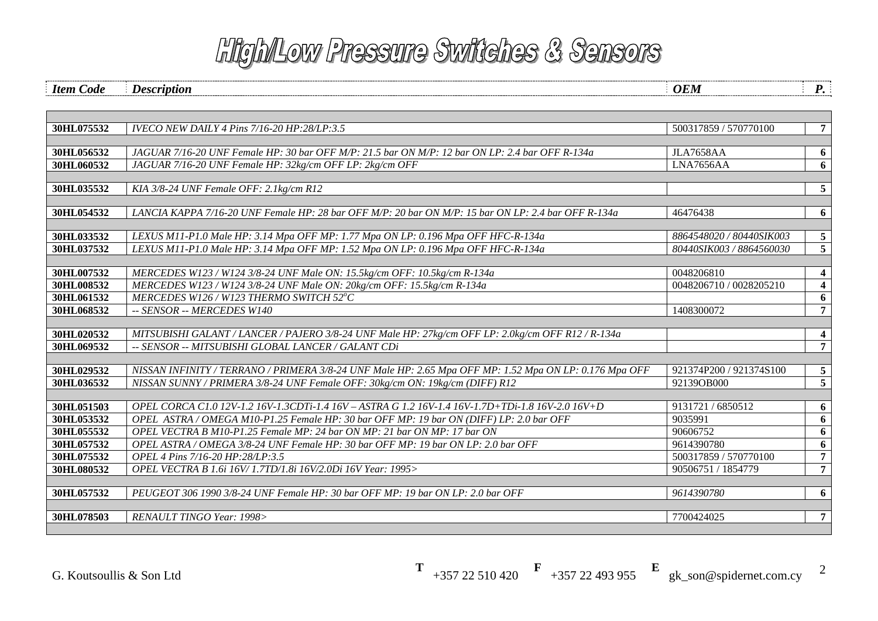*Item Code Description P.* 

| 30HL075532 | <b>IVECO NEW DAILY 4 Pins 7/16-20 HP:28/LP:3.5</b>                                                     | 500317859 / 570770100    | $7\overline{ }$         |
|------------|--------------------------------------------------------------------------------------------------------|--------------------------|-------------------------|
|            |                                                                                                        |                          |                         |
| 30HL056532 | JAGUAR 7/16-20 UNF Female HP: 30 bar OFF M/P: 21.5 bar ON M/P: 12 bar ON LP: 2.4 bar OFF R-134a        | <b>JLA7658AA</b>         | 6                       |
| 30HL060532 | JAGUAR 7/16-20 UNF Female HP: 32kg/cm OFF LP: 2kg/cm OFF                                               | LNA7656AA                | 6                       |
|            |                                                                                                        |                          |                         |
| 30HL035532 | KIA 3/8-24 UNF Female OFF: 2.1kg/cm R12                                                                |                          | 5                       |
|            |                                                                                                        |                          |                         |
| 30HL054532 | LANCIA KAPPA 7/16-20 UNF Female HP: 28 bar OFF M/P: 20 bar ON M/P: 15 bar ON LP: 2.4 bar OFF R-134a    | 46476438                 | 6                       |
|            |                                                                                                        |                          |                         |
| 30HL033532 | LEXUS M11-P1.0 Male HP: 3.14 Mpa OFF MP: 1.77 Mpa ON LP: 0.196 Mpa OFF HFC-R-134a                      | 8864548020 / 80440SIK003 | 5                       |
| 30HL037532 | LEXUS M11-P1.0 Male HP: 3.14 Mpa OFF MP: 1.52 Mpa ON LP: 0.196 Mpa OFF HFC-R-134a                      | 80440SIK003 / 8864560030 | $\overline{5}$          |
|            |                                                                                                        |                          |                         |
| 30HL007532 | MERCEDES W123 / W124 3/8-24 UNF Male ON: 15.5kg/cm OFF: 10.5kg/cm R-134a                               | 0048206810               | $\overline{\mathbf{4}}$ |
| 30HL008532 | MERCEDES W123 / W124 3/8-24 UNF Male ON: 20kg/cm OFF: 15.5kg/cm R-134a                                 | 0048206710 / 0028205210  | $\overline{\mathbf{4}}$ |
| 30HL061532 | MERCEDES W126 / W123 THERMO SWITCH 52°C                                                                |                          | 6                       |
| 30HL068532 | -- SENSOR -- MERCEDES W140                                                                             | 1408300072               | 7 <sup>7</sup>          |
| 30HL020532 | MITSUBISHI GALANT / LANCER / PAJERO 3/8-24 UNF Male HP: 27kg/cm OFF LP: 2.0kg/cm OFF R12 / R-134a      |                          | $\boldsymbol{4}$        |
| 30HL069532 | -- SENSOR -- MITSUBISHI GLOBAL LANCER / GALANT CDi                                                     |                          | $\overline{7}$          |
|            |                                                                                                        |                          |                         |
| 30HL029532 | NISSAN INFINITY / TERRANO / PRIMERA 3/8-24 UNF Male HP: 2.65 Mpa OFF MP: 1.52 Mpa ON LP: 0.176 Mpa OFF | 921374P200 / 921374S100  | 5 <sup>5</sup>          |
| 30HL036532 | NISSAN SUNNY / PRIMERA 3/8-24 UNF Female OFF: 30kg/cm ON: 19kg/cm (DIFF) R12                           | 92139OB000               | $\overline{5}$          |
|            |                                                                                                        |                          |                         |
| 30HL051503 | OPEL CORCA C1.0 12V-1.2 16V-1.3CDTi-1.4 16V - ASTRA G 1.2 16V-1.4 16V-1.7D+TDi-1.8 16V-2.0 16V+D       | 9131721 / 6850512        | 6                       |
| 30HL053532 | OPEL ASTRA / OMEGA M10-P1.25 Female HP: 30 bar OFF MP: 19 bar ON (DIFF) LP: 2.0 bar OFF                | 9035991                  | 6                       |
| 30HL055532 | OPEL VECTRA B M10-P1.25 Female MP: 24 bar ON MP: 21 bar ON MP: 17 bar ON                               | 90606752                 | 6                       |
| 30HL057532 | OPEL ASTRA / OMEGA 3/8-24 UNF Female HP: 30 bar OFF MP: 19 bar ON LP: 2.0 bar OFF                      | 9614390780               | 6                       |
| 30HL075532 | OPEL 4 Pins 7/16-20 HP:28/LP:3.5                                                                       | 500317859 / 570770100    | $7\overline{ }$         |
| 30HL080532 | OPEL VECTRA B 1.6i 16V/1.7TD/1.8i 16V/2.0Di 16V Year: 1995>                                            | 90506751 / 1854779       | $\overline{7}$          |
|            |                                                                                                        |                          |                         |
| 30HL057532 | PEUGEOT 306 1990 3/8-24 UNF Female HP: 30 bar OFF MP: 19 bar ON LP: 2.0 bar OFF                        | 9614390780               | 6                       |
|            |                                                                                                        |                          |                         |
| 30HL078503 | RENAULT TINGO Year: 1998>                                                                              | 7700424025               | $7\overline{ }$         |
|            |                                                                                                        |                          |                         |

**T** +357 22 510 420 **F** +357 22 493 955 **E** gk\_son@spidernet.com.cy

2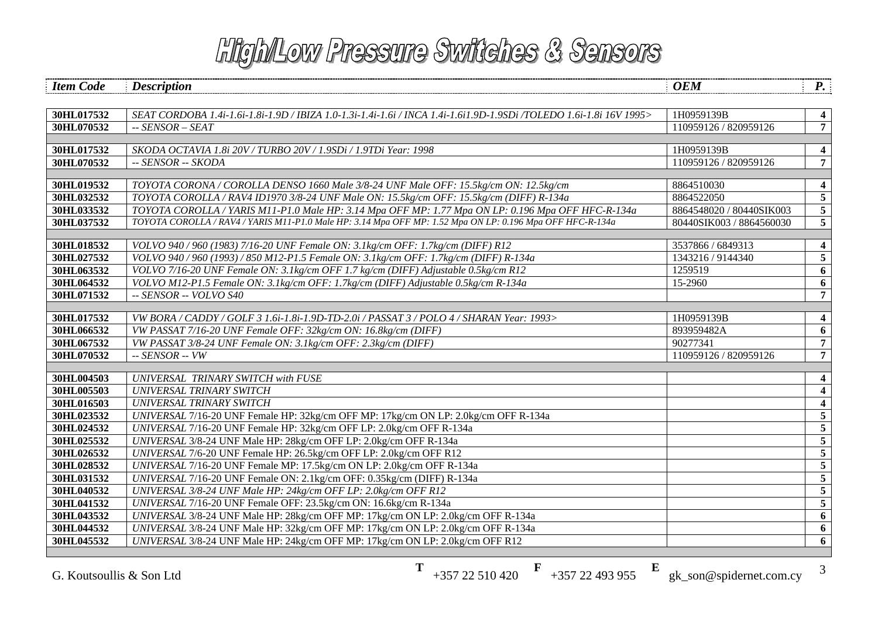| <b>Item Code</b>         | <b>Description</b>                                                                                                                                                              | <b>OEM</b>               | $P_{\cdot}$                               |
|--------------------------|---------------------------------------------------------------------------------------------------------------------------------------------------------------------------------|--------------------------|-------------------------------------------|
|                          |                                                                                                                                                                                 |                          |                                           |
| 30HL017532               | SEAT CORDOBA 1.4i-1.6i-1.8i-1.9D / IBIZA 1.0-1.3i-1.4i-1.6i / INCA 1.4i-1.6i1.9D-1.9SDi /TOLEDO 1.6i-1.8i 16V 1995>                                                             | 1H0959139B               | $\overline{\mathbf{4}}$                   |
| 30HL070532               | $-$ SENSOR $-$ SEAT                                                                                                                                                             | 110959126 / 820959126    | $\overline{7}$                            |
|                          |                                                                                                                                                                                 |                          |                                           |
| 30HL017532               | SKODA OCTAVIA 1.8i 20V / TURBO 20V / 1.9SDi / 1.9TDi Year: 1998                                                                                                                 | 1H0959139B               | $\boldsymbol{4}$                          |
| 30HL070532               | -- SENSOR -- SKODA                                                                                                                                                              | 110959126 / 820959126    | $\overline{7}$                            |
|                          |                                                                                                                                                                                 |                          |                                           |
| 30HL019532<br>30HL032532 | TOYOTA CORONA / COROLLA DENSO 1660 Male 3/8-24 UNF Male OFF: 15.5kg/cm ON: 12.5kg/cm<br>TOYOTA COROLLA / RAV4 ID1970 3/8-24 UNF Male ON: 15.5kg/cm OFF: 15.5kg/cm (DIFF) R-134a | 8864510030<br>8864522050 | $\overline{\mathbf{4}}$<br>$\overline{5}$ |
| 30HL033532               | TOYOTA COROLLA / YARIS M11-P1.0 Male HP: 3.14 Mpa OFF MP: 1.77 Mpa ON LP: 0.196 Mpa OFF HFC-R-134a                                                                              | 8864548020 / 80440SIK003 |                                           |
| 30HL037532               | TOYOTA COROLLA / RAV4 / YARIS M11-P1.0 Male HP: 3.14 Mpa OFF MP: 1.52 Mpa ON LP: 0.196 Mpa OFF HFC-R-134a                                                                       | 80440SIK003 / 8864560030 | $\sqrt{5}$<br>$5\overline{)}$             |
|                          |                                                                                                                                                                                 |                          |                                           |
| 30HL018532               | VOLVO 940/960 (1983) 7/16-20 UNF Female ON: 3.1kg/cm OFF: 1.7kg/cm (DIFF) R12                                                                                                   | 3537866 / 6849313        | $\boldsymbol{4}$                          |
| 30HL027532               | VOLVO 940/960 (1993)/850 M12-P1.5 Female ON: 3.1kg/cm OFF: 1.7kg/cm (DIFF) R-134a                                                                                               | 1343216 / 9144340        | 5                                         |
| 30HL063532               | VOLVO 7/16-20 UNF Female ON: 3.1kg/cm OFF 1.7 kg/cm (DIFF) Adjustable 0.5kg/cm R12                                                                                              | 1259519                  | 6                                         |
| 30HL064532               | VOLVO M12-P1.5 Female ON: 3.1kg/cm OFF: 1.7kg/cm (DIFF) Adjustable 0.5kg/cm R-134a                                                                                              | 15-2960                  | 6                                         |
| 30HL071532               | -- SENSOR -- VOLVO S40                                                                                                                                                          |                          | $\overline{7}$                            |
|                          |                                                                                                                                                                                 |                          |                                           |
| 30HL017532               | VW BORA / CADDY / GOLF 3 1.6i-1.8i-1.9D-TD-2.0i / PASSAT 3 / POLO 4 / SHARAN Year: 1993>                                                                                        | 1H0959139B               | $\overline{\mathbf{4}}$                   |
| 30HL066532               | VW PASSAT 7/16-20 UNF Female OFF: 32kg/cm ON: 16.8kg/cm (DIFF)                                                                                                                  | 893959482A               | 6                                         |
| 30HL067532               | VW PASSAT 3/8-24 UNF Female ON: 3.1kg/cm OFF: 2.3kg/cm (DIFF)                                                                                                                   | 90277341                 | $\overline{7}$                            |
| 30HL070532               | $-$ SENSOR $-$ VW                                                                                                                                                               | 110959126 / 820959126    | $\overline{7}$                            |
|                          |                                                                                                                                                                                 |                          |                                           |
| 30HL004503               | UNIVERSAL TRINARY SWITCH with FUSE                                                                                                                                              |                          | $\overline{\mathbf{4}}$                   |
| 30HL005503               | UNIVERSAL TRINARY SWITCH                                                                                                                                                        |                          | $\overline{\mathbf{4}}$                   |
| 30HL016503               | UNIVERSAL TRINARY SWITCH                                                                                                                                                        |                          | $\boldsymbol{4}$                          |
| 30HL023532               | UNIVERSAL 7/16-20 UNF Female HP: 32kg/cm OFF MP: 17kg/cm ON LP: 2.0kg/cm OFF R-134a                                                                                             |                          | $\overline{5}$                            |
| 30HL024532               | UNIVERSAL 7/16-20 UNF Female HP: 32kg/cm OFF LP: 2.0kg/cm OFF R-134a                                                                                                            |                          | $\overline{\mathbf{5}}$                   |
| 30HL025532               | UNIVERSAL 3/8-24 UNF Male HP: 28kg/cm OFF LP: 2.0kg/cm OFF R-134a                                                                                                               |                          | $\overline{5}$                            |
| 30HL026532               | UNIVERSAL 7/6-20 UNF Female HP: 26.5kg/cm OFF LP: 2.0kg/cm OFF R12                                                                                                              |                          | $\overline{5}$                            |
| 30HL028532               | UNIVERSAL 7/16-20 UNF Female MP: 17.5kg/cm ON LP: 2.0kg/cm OFF R-134a                                                                                                           |                          | $\overline{5}$                            |
| 30HL031532               | UNIVERSAL 7/16-20 UNF Female ON: 2.1kg/cm OFF: 0.35kg/cm (DIFF) R-134a                                                                                                          |                          | $\overline{\mathbf{5}}$                   |
| 30HL040532               | UNIVERSAL 3/8-24 UNF Male HP: 24kg/cm OFF LP: 2.0kg/cm OFF R12                                                                                                                  |                          | $\overline{\mathbf{5}}$                   |
| 30HL041532               | UNIVERSAL 7/16-20 UNF Female OFF: 23.5kg/cm ON: 16.6kg/cm R-134a                                                                                                                |                          | $\overline{5}$                            |
| 30HL043532               | UNIVERSAL 3/8-24 UNF Male HP: 28kg/cm OFF MP: 17kg/cm ON LP: 2.0kg/cm OFF R-134a                                                                                                |                          | 6                                         |
| 30HL044532               | UNIVERSAL 3/8-24 UNF Male HP: 32kg/cm OFF MP: 17kg/cm ON LP: 2.0kg/cm OFF R-134a                                                                                                |                          | 6                                         |
| 30HL045532               | UNIVERSAL 3/8-24 UNF Male HP: 24kg/cm OFF MP: 17kg/cm ON LP: 2.0kg/cm OFF R12                                                                                                   |                          | 6                                         |

G. Koutsoullis & Son Ltd

**T**  $+35722510420$ **<sup>F</sup>** +357 22 493 955

gk\_son@spidernet.com.cy

**E**

3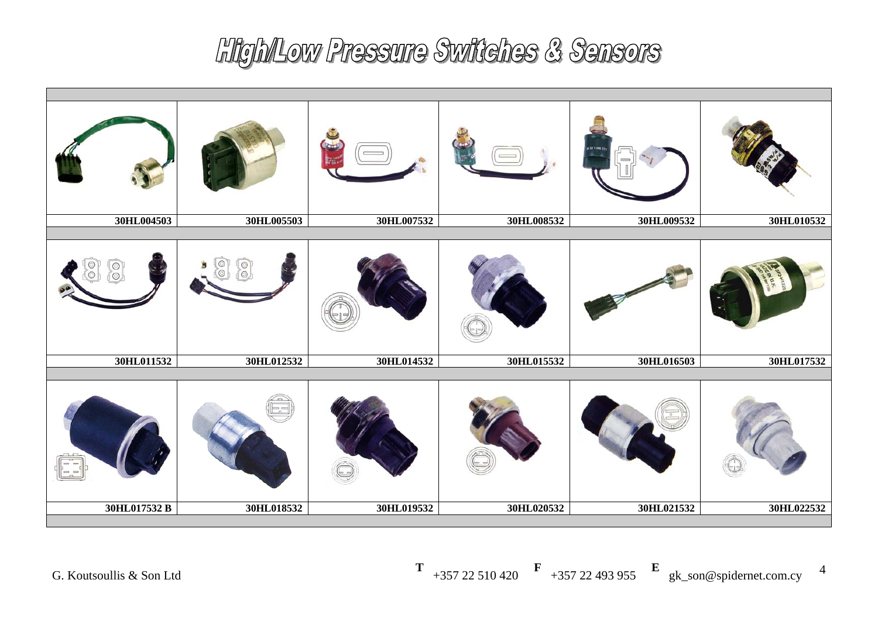| 30HL004503   | 30HL005503 | 30HL007532 | 30HL008532 | 30HL009532 | 30HL010532 |
|--------------|------------|------------|------------|------------|------------|
|              |            |            |            |            |            |
| 30HL011532   | 30HL012532 | 30HL014532 | 30HL015532 | 30HL016503 | 30HL017532 |
|              |            |            |            |            |            |
| 30HL017532 B | 30HL018532 | 30HL019532 | 30HL020532 | 30HL021532 | 30HL022532 |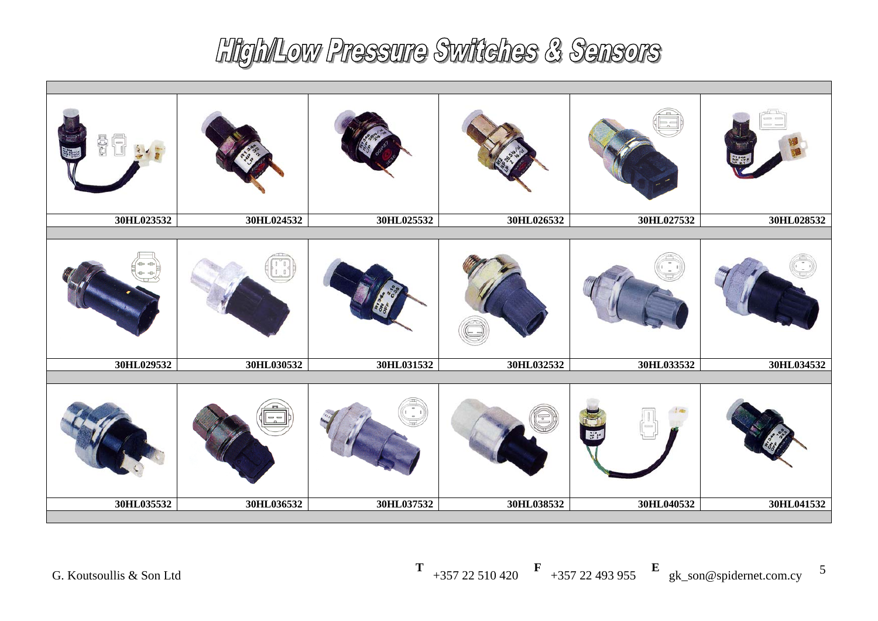| 30HL023532 | 30HL024532 | 30HL025532 | 30HL026532 | 30HL027532       | 30HL028532 |
|------------|------------|------------|------------|------------------|------------|
|            |            |            |            |                  |            |
| 30HL029532 | 30HL030532 | 30HL031532 | 30HL032532 | 30HL033532       | 30HL034532 |
|            |            |            |            | $\mathbb{R}^n$ : |            |
| 30HL035532 | 30HL036532 | 30HL037532 | 30HL038532 | 30HL040532       | 30HL041532 |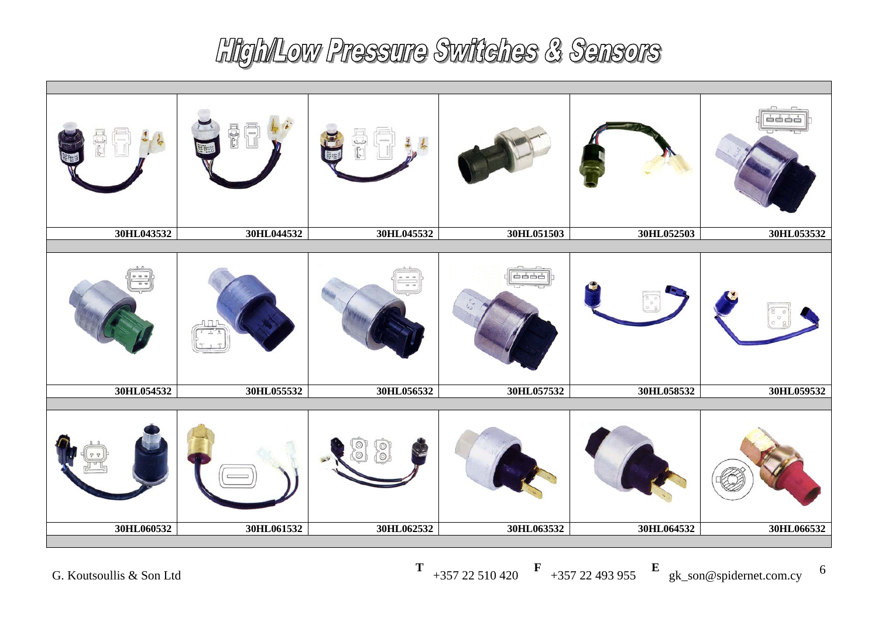| 30HL043532 | 30HL044532 | 30HL045532 | 30HL051503 | 30HL052503 | 30HL053532 |
|------------|------------|------------|------------|------------|------------|
|            |            |            |            |            |            |
| 30HL054532 | 30HL055532 | 30HL056532 | 30HL057532 | 30HL058532 | 30HL059532 |
|            |            | ⊚          |            |            |            |
| 30HL060532 | 30HL061532 | 30HL062532 | 30HL063532 | 30HL064532 | 30HL066532 |
|            |            |            |            |            |            |

**T** +357 22 510 420 **F** +357 22 493 955 **E** gk\_son@spidernet.com.cy 6